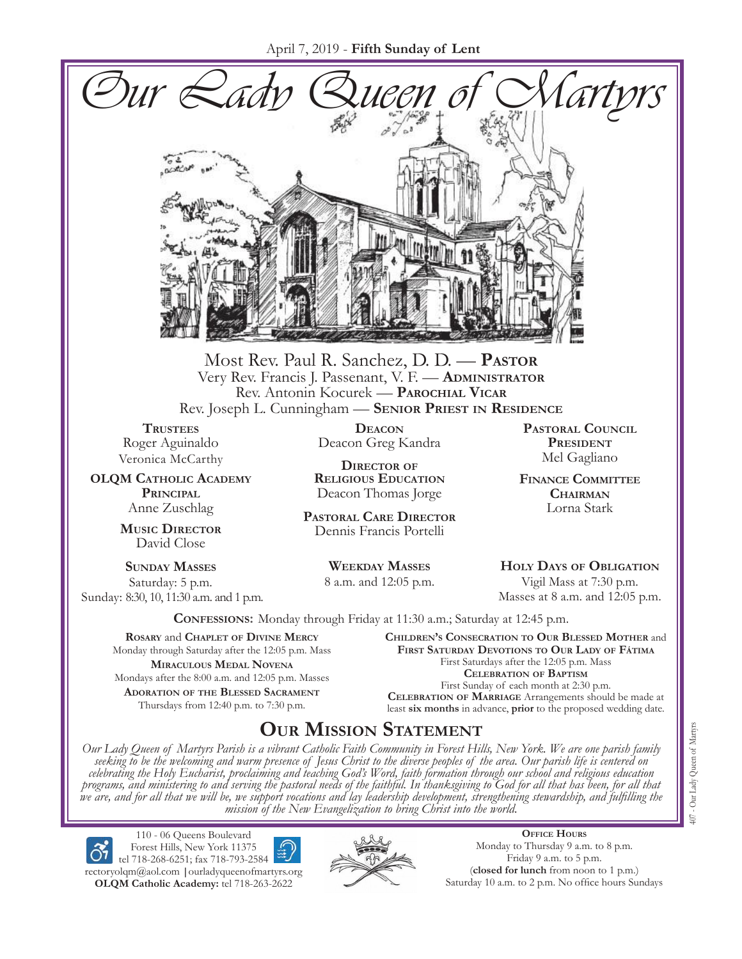

Most Rev. Paul R. Sanchez, D. D. — **Pastor** Very Rev. Francis J. Passenant, V. F. — **Administrator** Rev. Antonin Kocurek — **Parochial Vicar** Rev. Joseph L. Cunningham — **Senior Priest in Residence**

**TRUSTEES** Roger Aguinaldo Veronica McCarthy

**OLQM Catholic Academy Principal** Anne Zuschlag

> **Music Director** David Close

**Sunday Masses** Saturday: 5 p.m. Sunday: 8:30, 10, 11:30 a.m. and 1 p.m.

**Deacon** Deacon Greg Kandra

**Director of Religious Education** Deacon Thomas Jorge

**Pastoral Care Director** Dennis Francis Portelli

> **Weekday Masses** 8 a.m. and 12:05 p.m.

**Pastoral Council** PRESIDENT Mel Gagliano

**Finance Committee Chairman** Lorna Stark

**Holy Days of Obligation** Vigil Mass at 7:30 p.m. Masses at 8 a.m. and 12:05 p.m.

**Confessions:** Monday through Friday at 11:30 a.m.; Saturday at 12:45 p.m.

**Rosary** and **Chaplet of Divine Mercy** Monday through Saturday after the 12:05 p.m. Mass **Miraculous Medal Novena** Mondays after the 8:00 a.m. and 12:05 p.m. Masses **Adoration of the Blessed Sacrament** Thursdays from 12:40 p.m. to 7:30 p.m.

**Children's Consecration to Our Blessed Mother** and **First Saturday Devotions to Our Lady of Fátima** First Saturdays after the 12:05 p.m. Mass **Celebration of Baptism** First Sunday of each month at 2:30 p.m. **Celebration of Marriage** Arrangements should be made at least **six months** in advance, **prior** to the proposed wedding date.

# **Our Mission Statement**

Our Lady Queen of Martyrs Parish is a vibrant Catholic Faith Community in Forest Hills, New York. We are one parish family<br>seeking to be the welcoming and warm presence of Jesus Christ to the diverse peoples of the area. O *celebrating the Holy Eucharist, proclaiming and teaching God's Word, faith formation through our school and religious education*  programs, and ministering to and serving the pastoral needs of the faithful. In thanksgiving to God for all that has been, for all that<br>we are, and for all that we will be, we support vocations and lay leadership developme *mission of the New Evangelization to bring Christ into the world.*

110 - 06 Queens Boulevard Forest Hills, New York 11375 tel 718-268-6251; fax 718-793-2584 [rectoryolqm@aol.com](mailto:rectoryolqm@aol.com) **|**[ourladyqueenofmartyrs.org](www.ourladyqueenofmartyrs.org) **OLQM Catholic Academy:** tel 718-263-2622



**Office Hours** Monday to Thursday 9 a.m. to 8 p.m. Friday 9 a.m. to 5 p.m. (**closed for lunch** from noon to 1 p.m.) Saturday 10 a.m. to 2 p.m. No office hours Sundays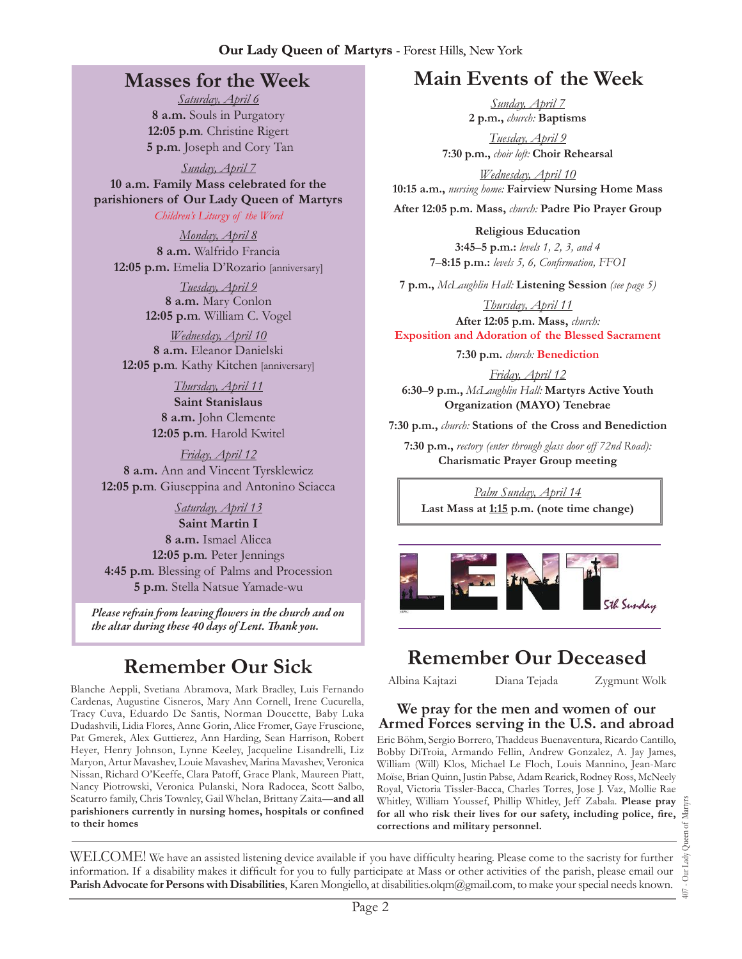## **Masses for the Week**

*Saturday, April 6* **8 a.m.** Souls in Purgatory **12:05 p.m***.* Christine Rigert **5 p.m***.* Joseph and Cory Tan

*Sunday, April 7* **10 a.m. Family Mass celebrated for the parishioners of Our Lady Queen of Martyrs**

*Children's Liturgy of the Word* 

*Monday, April 8* **8 a.m.** Walfrido Francia **12:05 p.m.** Emelia D'Rozario [anniversary]

> *Tuesday, April 9* **8 a.m.** Mary Conlon **12:05 p.m***.* William C. Vogel

*Wednesday, April 10* **8 a.m.** Eleanor Danielski **12:05 p.m***.* Kathy Kitchen [anniversary]

> *Thursday, April 11* **Saint Stanislaus 8 a.m.** John Clemente **12:05 p.m***.* Harold Kwitel

*Friday, April 12* **8 a.m.** Ann and Vincent Tyrsklewicz **12:05 p.m***.* Giuseppina and Antonino Sciacca

*Saturday, April 13* **Saint Martin I 8 a.m.** Ismael Alicea **12:05 p.m***.* Peter Jennings **4:45 p.m***.* Blessing of Palms and Procession **5 p.m***.* Stella Natsue Yamade-wu

*Please refrain from leaving flowers in the church and on the altar during these 40 days of Lent. Thank you.*

Blanche Aeppli, Svetiana Abramova, Mark Bradley, Luis Fernando Cardenas, Augustine Cisneros, Mary Ann Cornell, Irene Cucurella, Tracy Cuva, Eduardo De Santis, Norman Doucette, Baby Luka Dudashvili, Lidia Flores, Anne Gorin, Alice Fromer, Gaye Fruscione, Pat Gmerek, Alex Guttierez, Ann Harding, Sean Harrison, Robert Heyer, Henry Johnson, Lynne Keeley, Jacqueline Lisandrelli, Liz Maryon, Artur Mavashev, Louie Mavashev, Marina Mavashev, Veronica Nissan, Richard O'Keeffe, Clara Patoff, Grace Plank, Maureen Piatt, Nancy Piotrowski, Veronica Pulanski, Nora Radocea, Scott Salbo, Scaturro family, Chris Townley, Gail Whelan, Brittany Zaita—**and all parishioners currently in nursing homes, hospitals or confined to their homes**

# **Main Events of the Week**

*Sunday, April 7* **2 p.m.,** *church:* **Baptisms**

*Tuesday, April 9* **7:30 p.m.,** *choir loft:* **Choir Rehearsal**

*Wednesday, April 10* **10:15 a.m.,** *nursing home:* **Fairview Nursing Home Mass After 12:05 p.m. Mass,** *church:* **Padre Pio Prayer Group**

> **Religious Education 3:45**–**5 p.m.:** *levels 1, 2, 3, and 4*  **7**–**8:15 p.m.:** *levels 5, 6, Confirmation, FFO  I*

**7 p.m.,** *McLaughlin Hall:* **Listening Session** *(see page 5)*

*Thursday, April 11* **After 12:05 p.m. Mass,** *church:*  **Exposition and Adoration of the Blessed Sacrament**

**7:30 p.m.** *church:* **Benediction** 

*Friday, April 12* **6:30**–**9 p.m.,** *McLaughlin Hall:* **Martyrs Active Youth Organization (MAYO) Tenebrae**

**7:30 p.m.,** *church:* **Stations of the Cross and Benediction**

**7:30 p.m.,** *rectory (enter through glass door off 72nd Road):* **Charismatic Prayer Group meeting**

*Palm Sunday, April 14* **Last Mass at 1:15 p.m. (note time change)**



# **Remember Our Sick Remember Our Deceased**<br>
Albina Kajtazi **Diana Tejada Zygmunt W**

Zygmunt Wolk

### **We pray for the men and women of our Armed Forces serving in the U.S. and abroad**

Eric Böhm, Sergio Borrero, Thaddeus Buenaventura, Ricardo Cantillo, Bobby DiTroia, Armando Fellin, Andrew Gonzalez, A. Jay James, William (Will) Klos, Michael Le Floch, Louis Mannino, Jean-Marc Moïse, Brian Quinn, Justin Pabse, Adam Rearick, Rodney Ross, McNeely Royal, Victoria Tissler-Bacca, Charles Torres, Jose J. Vaz, Mollie Rae Whitley, William Youssef, Phillip Whitley, Jeff Zabala. **Please pray for all who risk their lives for our safety, including police, fire, corrections and military personnel.**

WELCOME! We have an assisted listening device available if you have difficulty hearing. Please come to the sacristy for further information. If a disability makes it difficult for you to fully participate at Mass or other activities of the parish, please email our **Parish Advocate for Persons with Disabilities**, Karen Mongiello, at [disabilities.olqm@gmail.com](mailto:disabilities.olqm@gmail.com), to make your special needs known.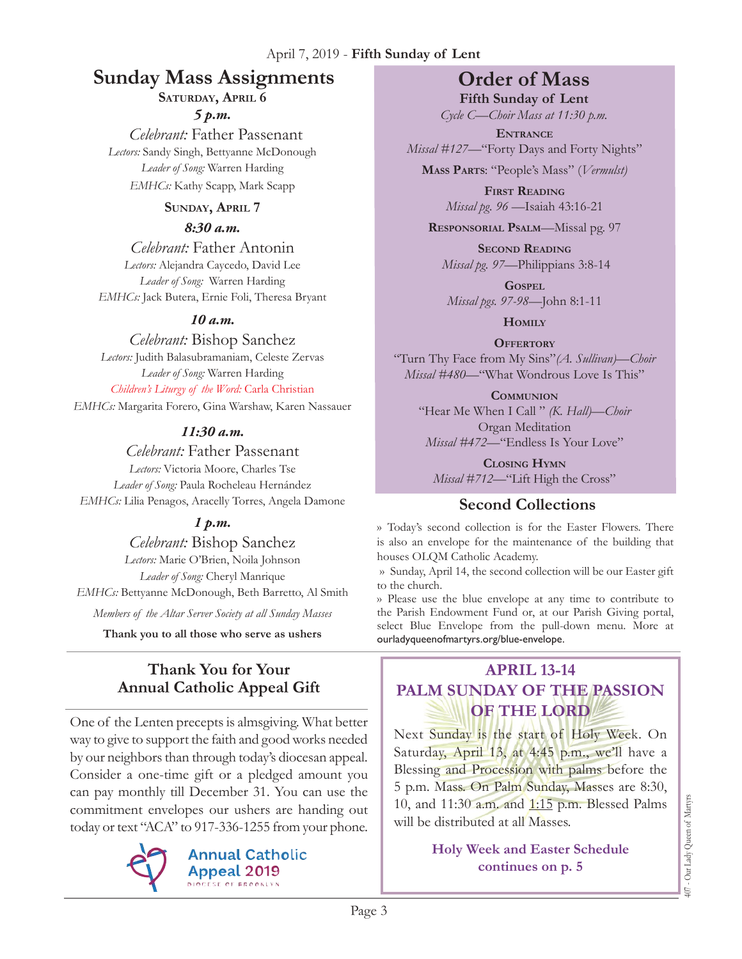# **Sunday Mass Assignments Order of Mass**

SATURDAY, APRIL 6

*5 p.m.* 

 *Celebrant:* Father Passenant *Lectors:* Sandy Singh, Bettyanne McDonough *Leader of Song:* Warren Harding *EMHCs:* Kathy Scapp, Mark Scapp

### **Sunday, April 7**

#### *8:30 a.m.*

*Celebrant:* Father Antonin *Lectors:* Alejandra Caycedo, David Lee *Leader of Song:* Warren Harding *EMHCs:* Jack Butera, Ernie Foli, Theresa Bryant

### *10 a.m.*

*Celebrant:* Bishop Sanchez *Lectors:* Judith Balasubramaniam, Celeste Zervas *Leader of Song:* Warren Harding *Children's Liturgy of the Word:* Carla Christian

*EMHCs:* Margarita Forero, Gina Warshaw, Karen Nassauer

### *11:30 a.m.*

*Celebrant:* Father Passenant *Lectors:* Victoria Moore, Charles Tse *Leader of Song:* Paula Rocheleau Hernández *EMHCs:* Lilia Penagos, Aracelly Torres, Angela Damone

### *1 p.m.*

*Celebrant:* Bishop Sanchez *Lectors:* Marie O'Brien, Noila Johnson *Leader of Song:* Cheryl Manrique *EMHCs:* Bettyanne McDonough, Beth Barretto, Al Smith

*Members of the Altar Server Society at all Sunday Masses*

**Thank you to all those who serve as ushers**

# **Thank You for Your Annual Catholic Appeal Gift**

One of the Lenten precepts is almsgiving. What better way to give to support the faith and good works needed by our neighbors than through today's diocesan appeal. Consider a one-time gift or a pledged amount you can pay monthly till December 31. You can use the commitment envelopes our ushers are handing out today or text "ACA" to 917-336-1255 from your phone.



**Annual Catholic Appeal 2019 DIOCESE OF BROOKLYN** 

**Fifth Sunday of Lent** *Cycle C—Choir Mass at 11:30 p.m.* 

**Entrance** *Missal* #127—"Forty Days and Forty Nights"

**Mass Parts**: "People's Mass" (*Vermulst)*

**First Reading** *Missal pg. 96 —*Isaiah 43:16-21

**Responsorial Psalm**—Missal pg. 97

**Second Reading** *Missal pg. 97—*Philippians 3:8-14

**Gospel** *Missal pgs. 97-98—*John 8:1-11

**Homily**

**Offertory** "Turn Thy Face from My Sins"*(A. Sullivan)—Choir Missal #480—*"What Wondrous Love Is This"

**Communion** "Hear Me When I Call " *(K. Hall)—Choir* Organ Meditation *Missal #472—*"Endless Is Your Love"

**Closing Hymn** *Missal #712—*"Lift High the Cross"

# **Second Collections**

›› Today's second collection is for the Easter Flowers. There is also an envelope for the maintenance of the building that houses OLQM Catholic Academy.

›› Sunday, April 14, the second collection will be our Easter gift to the church.

›› Please use the blue envelope at any time to contribute to the Parish Endowment Fund or, at our Parish Giving portal, select Blue Envelope from the pull-down menu. More at ourladyqueenofmartyrs.org/blue-envelope.

# **April 13-14 Palm Sunday of the passion of the lord**

Next Sunday is the start of Holy Week. On Saturday, April 13, at 4:45 p.m., we'll have a Blessing and Procession with palms before the 5 p.m. Mass. On Palm Sunday, Masses are 8:30, 10, and 11:30 a.m. and **1:15** p.m. Blessed Palms will be distributed at all Masses.

### **Holy Week and Easter Schedule continues on p. 5**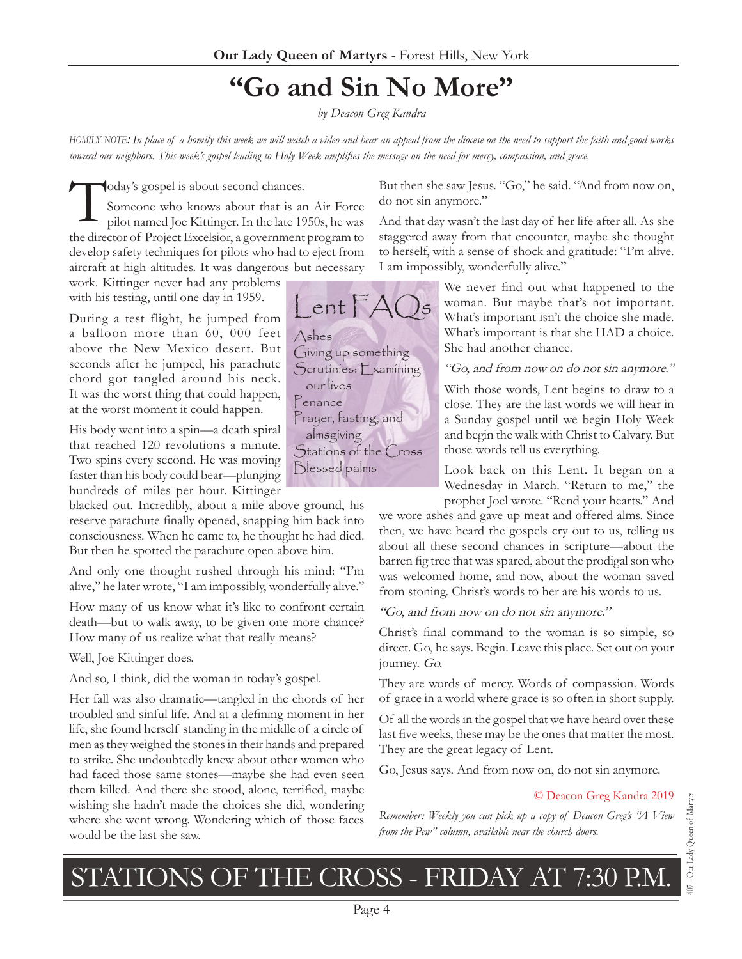# **"Go and Sin No More"**

*by Deacon Greg Kandra* 

*homily note: In place of a homily this week we will watch a video and hear an appeal from the diocese on the need to support the faith and good works toward our neighbors. This week's gospel leading to Holy Week amplifies the message on the need for mercy, compassion, and grace.*

Today's gospel is about second chances.<br>Someone who knows about that is a<br>pilot named Joe Kittinger. In the late 19 Someone who knows about that is an Air Force pilot named Joe Kittinger. In the late 1950s, he was the director of Project Excelsior, a government program to develop safety techniques for pilots who had to eject from aircraft at high altitudes. It was dangerous but necessary

work. Kittinger never had any problems with his testing, until one day in 1959.

During a test flight, he jumped from a balloon more than 60, 000 feet above the New Mexico desert. But seconds after he jumped, his parachute chord got tangled around his neck. It was the worst thing that could happen, at the worst moment it could happen.

His body went into a spin—a death spiral that reached 120 revolutions a minute. Two spins every second. He was moving faster than his body could bear—plunging hundreds of miles per hour. Kittinger

blacked out. Incredibly, about a mile above ground, his reserve parachute finally opened, snapping him back into consciousness. When he came to, he thought he had died. But then he spotted the parachute open above him.

And only one thought rushed through his mind: "I'm alive," he later wrote, "I am impossibly, wonderfully alive."

How many of us know what it's like to confront certain death—but to walk away, to be given one more chance? How many of us realize what that really means?

Well, Joe Kittinger does.

And so, I think, did the woman in today's gospel.

Her fall was also dramatic—tangled in the chords of her troubled and sinful life. And at a defining moment in her life, she found herself standing in the middle of a circle of men as they weighed the stones in their hands and prepared to strike. She undoubtedly knew about other women who had faced those same stones—maybe she had even seen them killed. And there she stood, alone, terrified, maybe wishing she hadn't made the choices she did, wondering where she went wrong. Wondering which of those faces would be the last she saw.

But then she saw Jesus. "Go," he said. "And from now on, do not sin anymore."

And that day wasn't the last day of her life after all. As she staggered away from that encounter, maybe she thought to herself, with a sense of shock and gratitude: "I'm alive. I am impossibly, wonderfully alive."

> We never find out what happened to the woman. But maybe that's not important. What's important isn't the choice she made. What's important is that she HAD a choice. She had another chance.

> "Go, and from now on do not sin anymore."

With those words, Lent begins to draw to a close. They are the last words we will hear in a Sunday gospel until we begin Holy Week and begin the walk with Christ to Calvary. But those words tell us everything.

Look back on this Lent. It began on a Wednesday in March. "Return to me," the prophet Joel wrote. "Rend your hearts." And

we wore ashes and gave up meat and offered alms. Since then, we have heard the gospels cry out to us, telling us about all these second chances in scripture—about the barren fig tree that was spared, about the prodigal son who was welcomed home, and now, about the woman saved from stoning. Christ's words to her are his words to us.

"Go, and from now on do not sin anymore."

Christ's final command to the woman is so simple, so direct. Go, he says. Begin. Leave this place. Set out on your journey. Go.

They are words of mercy. Words of compassion. Words of grace in a world where grace is so often in short supply.

Of all the words in the gospel that we have heard over these last five weeks, these may be the ones that matter the most. They are the great legacy of Lent.

Go, Jesus says. And from now on, do not sin anymore.

#### © Deacon Greg Kandra 2019

*Remember: Weekly you can pick up a copy of Deacon Greg's "A View from the Pew" column, available near the church doors.*

# STATIONS OF THE CROSS - FRIDAY AT 7:30 P.M.

Page 4

07 - Our Lady Queen of Martyrs 407 - Our Lady Queen of Martyrs

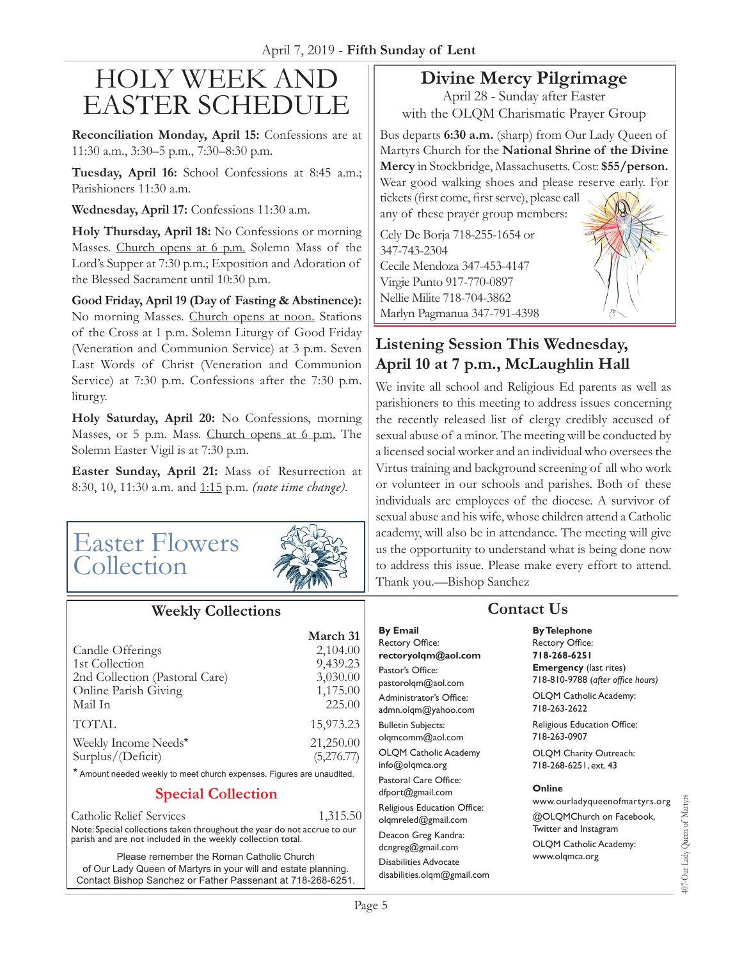# Holy Week and Easter Schedule

**Reconciliation Monday, April 15:** Confessions are at 11:30 a.m., 3:30–5 p.m., 7:30–8:30 p.m.

**Tuesday, April 16:** School Confessions at 8:45 a.m.; Parishioners 11:30 a.m.

**Wednesday, April 17:** Confessions 11:30 a.m.

**Holy Thursday, April 18:** No Confessions or morning Masses. Church opens at 6 p.m. Solemn Mass of the Lord's Supper at 7:30 p.m.; Exposition and Adoration of the Blessed Sacrament until 10:30 p.m.

**Good Friday, April 19 (Day of Fasting & Abstinence):**  No morning Masses. Church opens at noon. Stations of the Cross at 1 p.m. Solemn Liturgy of Good Friday (Veneration and Communion Service) at 3 p.m. Seven Last Words of Christ (Veneration and Communion Service) at 7:30 p.m. Confessions after the 7:30 p.m. liturgy.

**Holy Saturday, April 20:** No Confessions, morning Masses, or 5 p.m. Mass. Church opens at 6 p.m. The Solemn Easter Vigil is at 7:30 p.m.

**Easter Sunday, April 21:** Mass of Resurrection at 8:30, 10, 11:30 a.m. and 1:15 p.m. *(note time change).*

# Easter Flowers Collection



### **Weekly Collections**

|                                                                        | March 31   |
|------------------------------------------------------------------------|------------|
| Candle Offerings                                                       | 2,104.00   |
| 1st Collection                                                         | 9,439.23   |
| 2nd Collection (Pastoral Care)                                         | 3,030.00   |
| Online Parish Giving                                                   | 1,175.00   |
| Mail In                                                                | 225.00     |
| <b>TOTAL</b>                                                           | 15,973.23  |
| Weekly Income Needs*                                                   | 21,250.00  |
| Surplus/(Deficit)                                                      | (5,276.77) |
| * Amount needed weekly to meet church expenses. Figures are unaudited. |            |

### **Special Collection**

Catholic Relief Services 1,315.50 Note: Special collections taken throughout the year do not accrue to our parish and are not included in the weekly collection total.

Please remember the Roman Catholic Church of Our Lady Queen of Martyrs in your will and estate planning. Contact Bishop Sanchez or Father Passenant at 718-268-6251.

# **Divine Mercy Pilgrimage**

April 28 - Sunday after Easter with the OLQM Charismatic Prayer Group

Bus departs **6:30 a.m.** (sharp) from Our Lady Queen of Martyrs Church for the **National Shrine of the Divine Mercy** in Stockbridge, Massachusetts. Cost: **\$55/person.**  Wear good walking shoes and please reserve early. For tickets (first come, first serve), please call any of these prayer group members:

Cely De Borja 718-255-1654 or 347-743-2304 Cecile Mendoza 347-453-4147 Virgie Punto 917-770-0897 Nellie Milite 718-704-3862 Marlyn Pagmanua 347-791-4398

# **Listening Session This Wednesday, April 10 at 7 p.m., McLaughlin Hall**

We invite all school and Religious Ed parents as well as parishioners to this meeting to address issues concerning the recently released list of clergy credibly accused of sexual abuse of a minor. The meeting will be conducted by a licensed social worker and an individual who oversees the Virtus training and background screening of all who work or volunteer in our schools and parishes. Both of these individuals are employees of the diocese. A survivor of sexual abuse and his wife, whose children attend a Catholic academy, will also be in attendance. The meeting will give us the opportunity to understand what is being done now to address this issue. Please make every effort to attend. Thank you.—Bishop Sanchez

# **Contact Us**

**By Email** Rectory Office: **rectoryolqm@aol.com** Pastor's Office: pastorolqm@aol.com Administrator's Office: admn.olqm@yahoo.com Bulletin Subjects: olqmcomm@aol.com OLQM Catholic Academy info@olqmca.org Pastoral Care Office: dfport@gmail.com Religious Education Office: olqmreled@gmail.com Deacon Greg Kandra: dcngreg@gmail.com Disabilities Advocate [disabilities.olqm@gmail.com](mailto:disabilities.olqm@gmail.com) **By Telephone** Rectory Office: **718-268-6251 Emergency** (last rites) 718-810-9788 (*after office hours)*

OLQM Catholic Academy: 718-263-2622

Religious Education Office: 718-263-0907

OLQM Charity Outreach: 718-268-6251, ext. 43

#### **Online**

www.ourladyqueenofmartyrs.org @OLQMChurch on Facebook, Twitter and Instagram OLQM Catholic Academy: www.olqmca.org

407-Our Lady Queen of Martyrs 407-Our Lady Queen of Martyrs